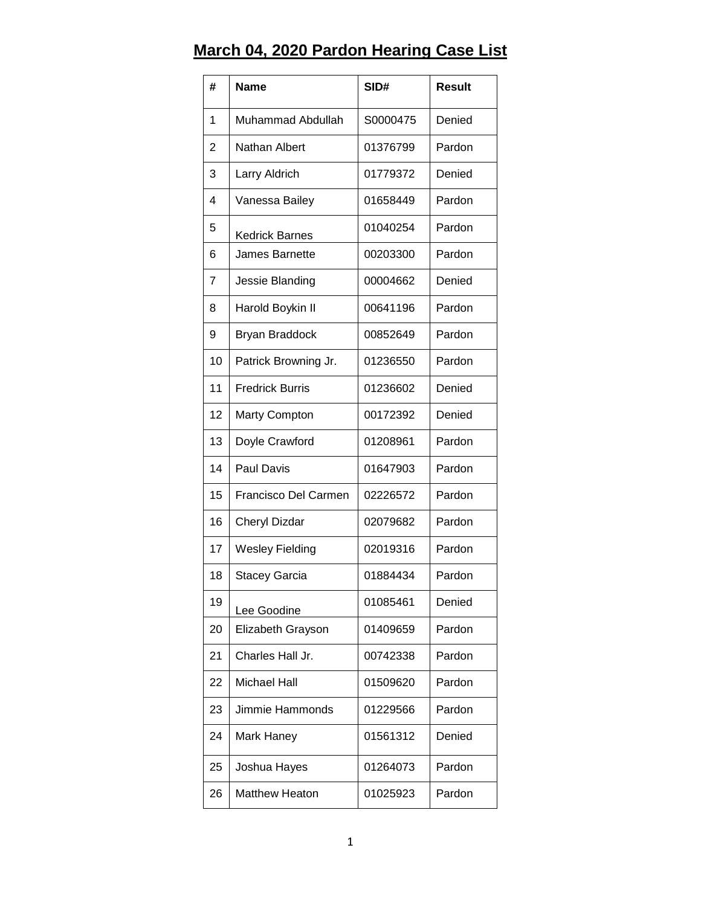## **March 04, 2020 Pardon Hearing Case List**

| #                       | <b>Name</b>            | SID#     | <b>Result</b> |
|-------------------------|------------------------|----------|---------------|
| 1                       | Muhammad Abdullah      | S0000475 | Denied        |
| 2                       | Nathan Albert          | 01376799 | Pardon        |
| 3                       | Larry Aldrich          | 01779372 | Denied        |
| $\overline{\mathbf{4}}$ | Vanessa Bailey         | 01658449 | Pardon        |
| 5                       | Kedrick Barnes         | 01040254 | Pardon        |
| 6                       | <b>James Barnette</b>  | 00203300 | Pardon        |
| $\overline{7}$          | Jessie Blanding        | 00004662 | Denied        |
| 8                       | Harold Boykin II       | 00641196 | Pardon        |
| 9                       | Bryan Braddock         | 00852649 | Pardon        |
| 10                      | Patrick Browning Jr.   | 01236550 | Pardon        |
| 11                      | <b>Fredrick Burris</b> | 01236602 | Denied        |
| 12                      | <b>Marty Compton</b>   | 00172392 | Denied        |
| 13                      | Doyle Crawford         | 01208961 | Pardon        |
| 14                      | <b>Paul Davis</b>      | 01647903 | Pardon        |
| 15                      | Francisco Del Carmen   | 02226572 | Pardon        |
| 16                      | Cheryl Dizdar          | 02079682 | Pardon        |
| 17                      | <b>Wesley Fielding</b> | 02019316 | Pardon        |
| 18                      | Stacey Garcia          | 01884434 | Pardon        |
| 19                      | Lee Goodine            | 01085461 | Denied        |
| 20                      | Elizabeth Grayson      | 01409659 | Pardon        |
| 21                      | Charles Hall Jr.       | 00742338 | Pardon        |
| 22                      | Michael Hall           | 01509620 | Pardon        |
| 23                      | Jimmie Hammonds        | 01229566 | Pardon        |
| 24                      | Mark Haney             | 01561312 | Denied        |
| 25                      | Joshua Hayes           | 01264073 | Pardon        |
| 26                      | <b>Matthew Heaton</b>  | 01025923 | Pardon        |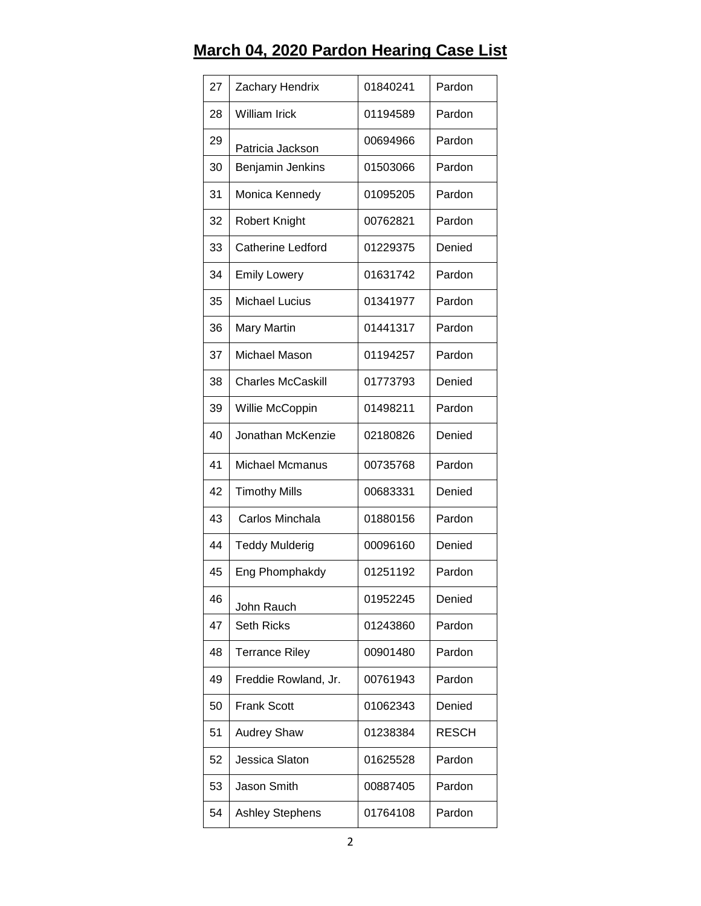## **March 04, 2020 Pardon Hearing Case List**

| 27 | Zachary Hendrix          | 01840241 | Pardon       |
|----|--------------------------|----------|--------------|
| 28 | <b>William Irick</b>     | 01194589 | Pardon       |
| 29 | Patricia Jackson         | 00694966 | Pardon       |
| 30 | Benjamin Jenkins         | 01503066 | Pardon       |
| 31 | Monica Kennedy           | 01095205 | Pardon       |
| 32 | <b>Robert Knight</b>     | 00762821 | Pardon       |
| 33 | Catherine Ledford        | 01229375 | Denied       |
| 34 | <b>Emily Lowery</b>      | 01631742 | Pardon       |
| 35 | <b>Michael Lucius</b>    | 01341977 | Pardon       |
| 36 | <b>Mary Martin</b>       | 01441317 | Pardon       |
| 37 | Michael Mason            | 01194257 | Pardon       |
| 38 | <b>Charles McCaskill</b> | 01773793 | Denied       |
| 39 | Willie McCoppin          | 01498211 | Pardon       |
| 40 | Jonathan McKenzie        | 02180826 | Denied       |
| 41 | Michael Mcmanus          | 00735768 | Pardon       |
| 42 | <b>Timothy Mills</b>     | 00683331 | Denied       |
| 43 | Carlos Minchala          | 01880156 | Pardon       |
| 44 | <b>Teddy Mulderig</b>    | 00096160 | Denied       |
| 45 | Eng Phomphakdy           | 01251192 | Pardon       |
| 46 | John Rauch               | 01952245 | Denied       |
| 47 | <b>Seth Ricks</b>        | 01243860 | Pardon       |
| 48 | <b>Terrance Riley</b>    | 00901480 | Pardon       |
| 49 | Freddie Rowland, Jr.     | 00761943 | Pardon       |
| 50 | <b>Frank Scott</b>       | 01062343 | Denied       |
| 51 | <b>Audrey Shaw</b>       | 01238384 | <b>RESCH</b> |
| 52 | Jessica Slaton           | 01625528 | Pardon       |
| 53 | Jason Smith              | 00887405 | Pardon       |
| 54 | <b>Ashley Stephens</b>   | 01764108 | Pardon       |
|    |                          |          |              |